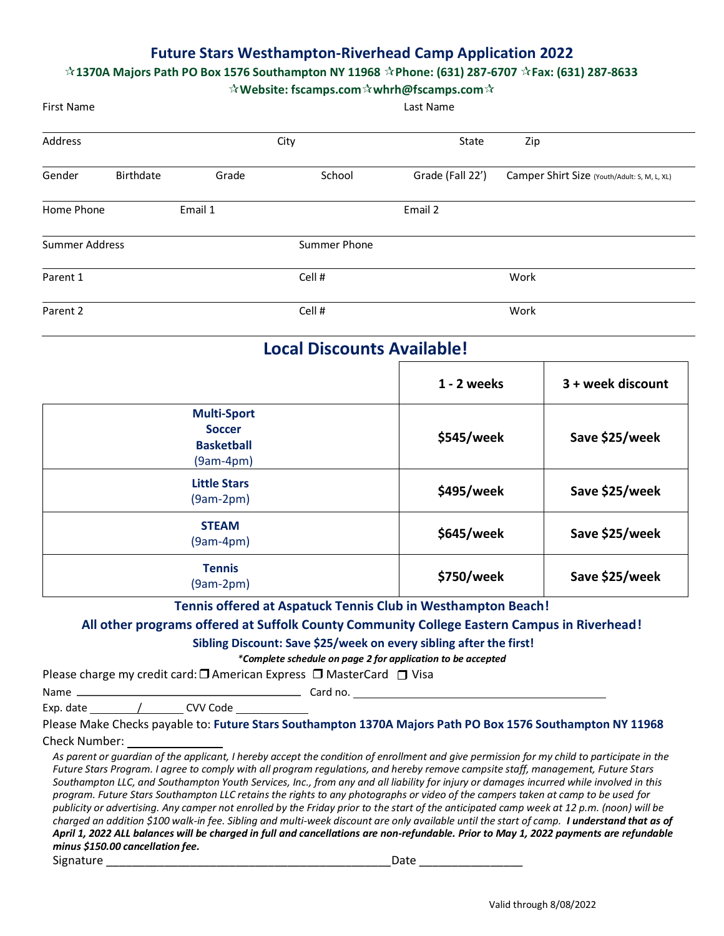## **Future Stars Westhampton-Riverhead Camp Application 2022**

#### **1370A Majors Path PO Box 1576 Southampton NY 11968 Phone: (631) 287-6707 Fax: (631) 287-8633**

#### **Website: fscamps.comwhrh@fscamps.com**

| First Name     |           | Last Name |              |                  |                                              |  |  |  |  |
|----------------|-----------|-----------|--------------|------------------|----------------------------------------------|--|--|--|--|
| Address        |           |           | City         | State            | Zip                                          |  |  |  |  |
| Gender         | Birthdate | Grade     | School       | Grade (Fall 22') | Camper Shirt Size (Youth/Adult: S, M, L, XL) |  |  |  |  |
| Home Phone     |           | Email 1   |              | Email 2          |                                              |  |  |  |  |
| Summer Address |           |           | Summer Phone |                  |                                              |  |  |  |  |
| Parent 1       |           |           | Cell#        |                  | Work                                         |  |  |  |  |
| Parent 2       |           |           | Cell#        |                  | Work                                         |  |  |  |  |

## **Local Discounts Available!**

|                                                                         | 1 - 2 weeks | 3 + week discount |
|-------------------------------------------------------------------------|-------------|-------------------|
| <b>Multi-Sport</b><br><b>Soccer</b><br><b>Basketball</b><br>$(9am-4pm)$ | \$545/week  | Save \$25/week    |
| <b>Little Stars</b><br>$(9am-2pm)$                                      | \$495/week  | Save \$25/week    |
| <b>STEAM</b><br>$(9am-4pm)$                                             | \$645/week  | Save \$25/week    |
| <b>Tennis</b><br>(9am-2pm)                                              | \$750/week  | Save \$25/week    |

**Tennis offered at Aspatuck Tennis Club in Westhampton Beach!**

#### **All other programs offered at Suffolk County Community College Eastern Campus in Riverhead!**

**Sibling Discount: Save \$25/week on every sibling after the first!** 

*\*Complete schedule on page 2 for application to be accepted* 

Please charge my credit card:  $\Box$  American Express  $\Box$  MasterCard  $\Box$  Visa

Name Card no.

Exp. date / CVV Code

Please Make Checks payable to: **Future Stars Southampton 1370A Majors Path PO Box 1576 Southampton NY 11968** Check Number:

*As parent or guardian of the applicant, I hereby accept the condition of enrollment and give permission for my child to participate in the Future Stars Program. I agree to comply with all program regulations, and hereby remove campsite staff, management, Future Stars Southampton LLC, and Southampton Youth Services, Inc., from any and all liability for injury or damages incurred while involved in this program. Future Stars Southampton LLC retains the rights to any photographs or video of the campers taken at camp to be used for publicity or advertising. Any camper not enrolled by the Friday prior to the start of the anticipated camp week at 12 p.m. (noon) will be charged an addition \$100 walk-in fee. Sibling and multi-week discount are only available until the start of camp. I understand that as of April 1, 2022 ALL balances will be charged in full and cancellations are non-refundable. Prior to May 1, 2022 payments are refundable minus \$150.00 cancellation fee.*  Signature \_\_\_\_\_\_\_\_\_\_\_\_\_\_\_\_\_\_\_\_\_\_\_\_\_\_\_\_\_\_\_\_\_\_\_\_\_\_\_\_\_\_\_\_Date \_\_\_\_\_\_\_\_\_\_\_\_\_\_\_\_